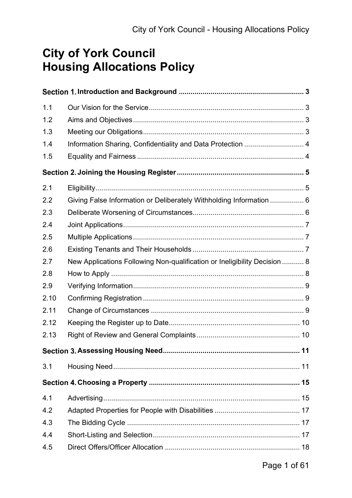## **City of York Council Housing Allocations Policy**

| 1.1  |                                                                           |    |
|------|---------------------------------------------------------------------------|----|
| 1.2  |                                                                           |    |
| 1.3  |                                                                           |    |
| 1.4  | Information Sharing, Confidentiality and Data Protection  4               |    |
| 1.5  |                                                                           |    |
|      |                                                                           |    |
| 2.1  |                                                                           |    |
| 2.2  | Giving False Information or Deliberately Withholding Information  6       |    |
| 2.3  |                                                                           |    |
| 2.4  |                                                                           |    |
| 2.5  |                                                                           |    |
| 2.6  |                                                                           |    |
| 2.7  | New Applications Following Non-qualification or Ineligibility Decision  8 |    |
| 2.8  |                                                                           |    |
| 2.9  |                                                                           |    |
| 2.10 |                                                                           |    |
| 2.11 |                                                                           |    |
| 2.12 |                                                                           |    |
| 2.13 |                                                                           |    |
|      | Section 3. Assessing Housing Need                                         | 11 |
| 3.1  |                                                                           |    |
|      |                                                                           |    |
| 4.1  |                                                                           |    |
| 4.2  |                                                                           |    |
| 4.3  |                                                                           |    |
| 4.4  |                                                                           |    |
| 4.5  |                                                                           |    |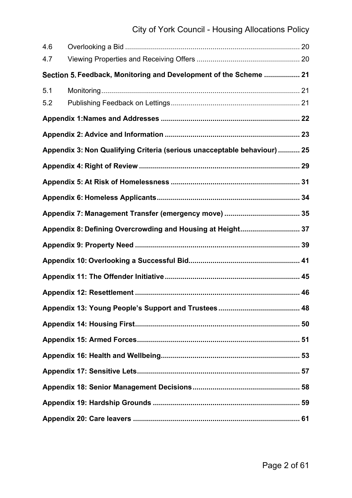| 4.6 |                                                                          |  |
|-----|--------------------------------------------------------------------------|--|
| 4.7 |                                                                          |  |
|     | Section 5. Feedback, Monitoring and Development of the Scheme  21        |  |
| 5.1 |                                                                          |  |
| 5.2 |                                                                          |  |
|     |                                                                          |  |
|     |                                                                          |  |
|     | Appendix 3: Non Qualifying Criteria (serious unacceptable behaviour)  25 |  |
|     |                                                                          |  |
|     |                                                                          |  |
|     |                                                                          |  |
|     |                                                                          |  |
|     | Appendix 8: Defining Overcrowding and Housing at Height 37               |  |
|     |                                                                          |  |
|     |                                                                          |  |
|     |                                                                          |  |
|     |                                                                          |  |
|     |                                                                          |  |
|     |                                                                          |  |
|     |                                                                          |  |
|     |                                                                          |  |
|     |                                                                          |  |
|     |                                                                          |  |
|     |                                                                          |  |
|     |                                                                          |  |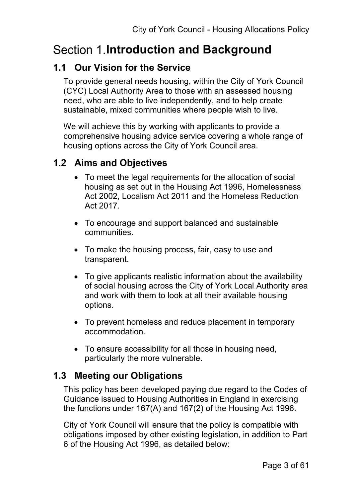# **Section 1.Introduction and Background**

## **1.1 Our Vision for the Service**

To provide general needs housing, within the City of York Council (CYC) Local Authority Area to those with an assessed housing need, who are able to live independently, and to help create sustainable, mixed communities where people wish to live.

We will achieve this by working with applicants to provide a comprehensive housing advice service covering a whole range of housing options across the City of York Council area.

## **1.2 Aims and Objectives**

- To meet the legal requirements for the allocation of social housing as set out in the Housing Act 1996, Homelessness Act 2002, Localism Act 2011 and the Homeless Reduction Act 2017.
- To encourage and support balanced and sustainable communities.
- To make the housing process, fair, easy to use and transparent.
- To give applicants realistic information about the availability of social housing across the City of York Local Authority area and work with them to look at all their available housing options.
- To prevent homeless and reduce placement in temporary accommodation.
- To ensure accessibility for all those in housing need, particularly the more vulnerable.

## **1.3 Meeting our Obligations**

This policy has been developed paying due regard to the Codes of Guidance issued to Housing Authorities in England in exercising the functions under 167(A) and 167(2) of the Housing Act 1996.

City of York Council will ensure that the policy is compatible with obligations imposed by other existing legislation, in addition to Part 6 of the Housing Act 1996, as detailed below: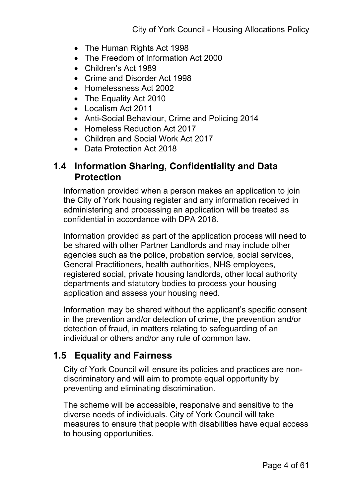- The Human Rights Act 1998
- The Freedom of Information Act 2000
- Children's Act 1989
- Crime and Disorder Act 1998
- Homelessness Act 2002
- The Equality Act 2010
- Localism Act 2011
- Anti-Social Behaviour, Crime and Policing 2014
- Homeless Reduction Act 2017
- Children and Social Work Act 2017
- Data Protection Act 2018

## **1.4 Information Sharing, Confidentiality and Data Protection**

Information provided when a person makes an application to join the City of York housing register and any information received in administering and processing an application will be treated as confidential in accordance with DPA 2018.

Information provided as part of the application process will need to be shared with other Partner Landlords and may include other agencies such as the police, probation service, social services, General Practitioners, health authorities, NHS employees, registered social, private housing landlords, other local authority departments and statutory bodies to process your housing application and assess your housing need.

Information may be shared without the applicant's specific consent in the prevention and/or detection of crime, the prevention and/or detection of fraud, in matters relating to safeguarding of an individual or others and/or any rule of common law.

## **1.5 Equality and Fairness**

City of York Council will ensure its policies and practices are nondiscriminatory and will aim to promote equal opportunity by preventing and eliminating discrimination.

The scheme will be accessible, responsive and sensitive to the diverse needs of individuals. City of York Council will take measures to ensure that people with disabilities have equal access to housing opportunities.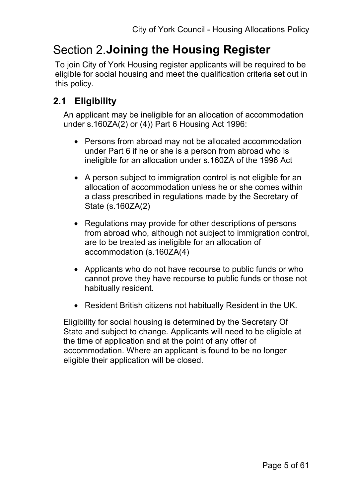## **Section 2. Joining the Housing Register**

To join City of York Housing register applicants will be required to be eligible for social housing and meet the qualification criteria set out in this policy.

## **2.1 Eligibility**

An applicant may be ineligible for an allocation of accommodation under s.160ZA(2) or (4)) Part 6 Housing Act 1996:

- Persons from abroad may not be allocated accommodation under Part 6 if he or she is a person from abroad who is ineligible for an allocation under s.160ZA of the 1996 Act
- A person subject to immigration control is not eligible for an allocation of accommodation unless he or she comes within a class prescribed in regulations made by the Secretary of State (s.160ZA(2)
- Regulations may provide for other descriptions of persons from abroad who, although not subject to immigration control, are to be treated as ineligible for an allocation of accommodation (s.160ZA(4)
- Applicants who do not have recourse to public funds or who cannot prove they have recourse to public funds or those not habitually resident.
- Resident British citizens not habitually Resident in the UK.

Eligibility for social housing is determined by the Secretary Of State and subject to change. Applicants will need to be eligible at the time of application and at the point of any offer of accommodation. Where an applicant is found to be no longer eligible their application will be closed.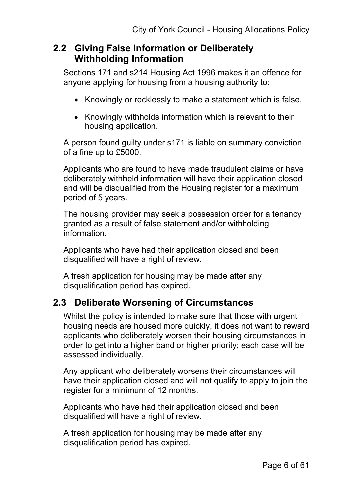### **2.2 Giving False Information or Deliberately Withholding Information**

Sections 171 and s214 Housing Act 1996 makes it an offence for anyone applying for housing from a housing authority to:

- Knowingly or recklessly to make a statement which is false.
- Knowingly withholds information which is relevant to their housing application.

A person found guilty under s171 is liable on summary conviction of a fine up to £5000.

Applicants who are found to have made fraudulent claims or have deliberately withheld information will have their application closed and will be disqualified from the Housing register for a maximum period of 5 years.

The housing provider may seek a possession order for a tenancy granted as a result of false statement and/or withholding information.

Applicants who have had their application closed and been disqualified will have a right of review.

A fresh application for housing may be made after any disqualification period has expired.

## **2.3 Deliberate Worsening of Circumstances**

Whilst the policy is intended to make sure that those with urgent housing needs are housed more quickly, it does not want to reward applicants who deliberately worsen their housing circumstances in order to get into a higher band or higher priority; each case will be assessed individually.

Any applicant who deliberately worsens their circumstances will have their application closed and will not qualify to apply to join the register for a minimum of 12 months.

Applicants who have had their application closed and been disqualified will have a right of review.

A fresh application for housing may be made after any disqualification period has expired.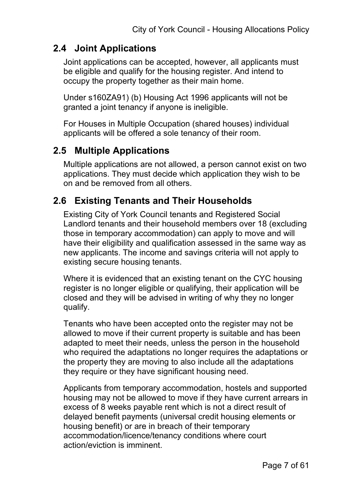### **2.4 Joint Applications**

Joint applications can be accepted, however, all applicants must be eligible and qualify for the housing register. And intend to occupy the property together as their main home.

Under s160ZA91) (b) Housing Act 1996 applicants will not be granted a joint tenancy if anyone is ineligible.

For Houses in Multiple Occupation (shared houses) individual applicants will be offered a sole tenancy of their room.

### **2.5 Multiple Applications**

Multiple applications are not allowed, a person cannot exist on two applications. They must decide which application they wish to be on and be removed from all others.

## **2.6 Existing Tenants and Their Households**

Existing City of York Council tenants and Registered Social Landlord tenants and their household members over 18 (excluding those in temporary accommodation) can apply to move and will have their eligibility and qualification assessed in the same way as new applicants. The income and savings criteria will not apply to existing secure housing tenants.

Where it is evidenced that an existing tenant on the CYC housing register is no longer eligible or qualifying, their application will be closed and they will be advised in writing of why they no longer qualify.

Tenants who have been accepted onto the register may not be allowed to move if their current property is suitable and has been adapted to meet their needs, unless the person in the household who required the adaptations no longer requires the adaptations or the property they are moving to also include all the adaptations they require or they have significant housing need.

Applicants from temporary accommodation, hostels and supported housing may not be allowed to move if they have current arrears in excess of 8 weeks payable rent which is not a direct result of delayed benefit payments (universal credit housing elements or housing benefit) or are in breach of their temporary accommodation/licence/tenancy conditions where court action/eviction is imminent.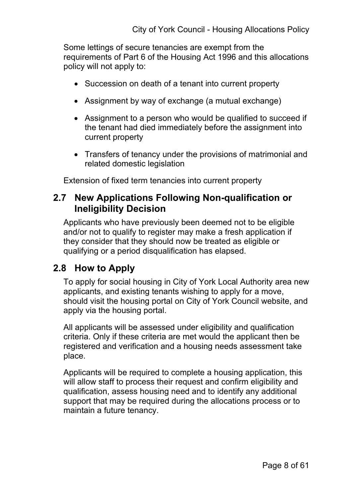Some lettings of secure tenancies are exempt from the requirements of Part 6 of the Housing Act 1996 and this allocations policy will not apply to:

- Succession on death of a tenant into current property
- Assignment by way of exchange (a mutual exchange)
- Assignment to a person who would be qualified to succeed if the tenant had died immediately before the assignment into current property
- Transfers of tenancy under the provisions of matrimonial and related domestic legislation

Extension of fixed term tenancies into current property

### **2.7 New Applications Following Non-qualification or Ineligibility Decision**

Applicants who have previously been deemed not to be eligible and/or not to qualify to register may make a fresh application if they consider that they should now be treated as eligible or qualifying or a period disqualification has elapsed.

## **2.8 How to Apply**

To apply for social housing in City of York Local Authority area new applicants, and existing tenants wishing to apply for a move, should visit the housing portal on City of York Council website, and apply via the housing portal.

All applicants will be assessed under eligibility and qualification criteria. Only if these criteria are met would the applicant then be registered and verification and a housing needs assessment take place.

Applicants will be required to complete a housing application, this will allow staff to process their request and confirm eligibility and qualification, assess housing need and to identify any additional support that may be required during the allocations process or to maintain a future tenancy.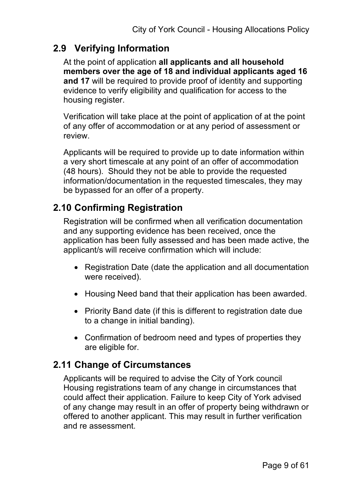### **2.9 Verifying Information**

At the point of application **all applicants and all household members over the age of 18 and individual applicants aged 16 and 17** will be required to provide proof of identity and supporting evidence to verify eligibility and qualification for access to the housing register.

Verification will take place at the point of application of at the point of any offer of accommodation or at any period of assessment or review.

Applicants will be required to provide up to date information within a very short timescale at any point of an offer of accommodation (48 hours). Should they not be able to provide the requested information/documentation in the requested timescales, they may be bypassed for an offer of a property.

## **2.10 Confirming Registration**

Registration will be confirmed when all verification documentation and any supporting evidence has been received, once the application has been fully assessed and has been made active, the applicant/s will receive confirmation which will include:

- Registration Date (date the application and all documentation were received).
- Housing Need band that their application has been awarded.
- Priority Band date (if this is different to registration date due to a change in initial banding).
- Confirmation of bedroom need and types of properties they are eligible for.

## **2.11 Change of Circumstances**

Applicants will be required to advise the City of York council Housing registrations team of any change in circumstances that could affect their application. Failure to keep City of York advised of any change may result in an offer of property being withdrawn or offered to another applicant. This may result in further verification and re assessment.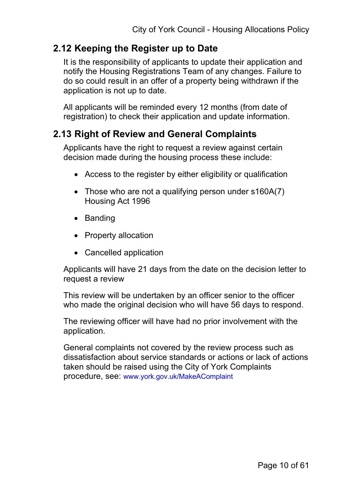### **2.12 Keeping the Register up to Date**

It is the responsibility of applicants to update their application and notify the Housing Registrations Team of any changes. Failure to do so could result in an offer of a property being withdrawn if the application is not up to date.

All applicants will be reminded every 12 months (from date of registration) to check their application and update information.

### **2.13 Right of Review and General Complaints**

Applicants have the right to request a review against certain decision made during the housing process these include:

- Access to the register by either eligibility or qualification
- Those who are not a qualifying person under s160A(7) Housing Act 1996
- Banding
- Property allocation
- Cancelled application

Applicants will have 21 days from the date on the decision letter to request a review

This review will be undertaken by an officer senior to the officer who made the original decision who will have 56 days to respond.

The reviewing officer will have had no prior involvement with the application.

General complaints not covered by the review process such as dissatisfaction about service standards or actions or lack of actions taken should be raised using the City of York Complaints procedure, see: [www.york.gov.uk/MakeAComplaint](https://www.york.gov.uk/MakeAComplaint)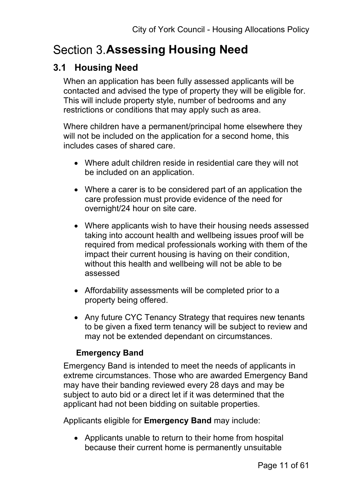# **Section 3. Assessing Housing Need**

## **3.1 Housing Need**

When an application has been fully assessed applicants will be contacted and advised the type of property they will be eligible for. This will include property style, number of bedrooms and any restrictions or conditions that may apply such as area.

Where children have a permanent/principal home elsewhere they will not be included on the application for a second home, this includes cases of shared care.

- Where adult children reside in residential care they will not be included on an application.
- Where a carer is to be considered part of an application the care profession must provide evidence of the need for overnight/24 hour on site care.
- Where applicants wish to have their housing needs assessed taking into account health and wellbeing issues proof will be required from medical professionals working with them of the impact their current housing is having on their condition, without this health and wellbeing will not be able to be assessed
- Affordability assessments will be completed prior to a property being offered.
- Any future CYC Tenancy Strategy that requires new tenants to be given a fixed term tenancy will be subject to review and may not be extended dependant on circumstances.

### **Emergency Band**

Emergency Band is intended to meet the needs of applicants in extreme circumstances. Those who are awarded Emergency Band may have their banding reviewed every 28 days and may be subject to auto bid or a direct let if it was determined that the applicant had not been bidding on suitable properties.

Applicants eligible for **Emergency Band** may include:

• Applicants unable to return to their home from hospital because their current home is permanently unsuitable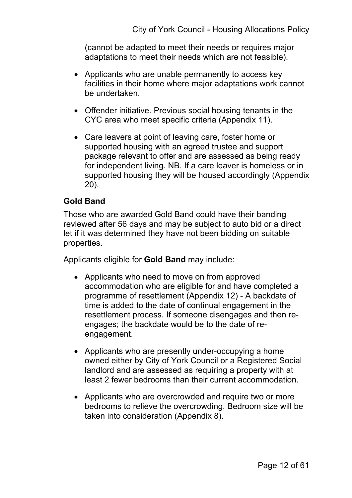(cannot be adapted to meet their needs or requires major adaptations to meet their needs which are not feasible).

- Applicants who are unable permanently to access key facilities in their home where major adaptations work cannot be undertaken.
- Offender initiative. Previous social housing tenants in the CYC area who meet specific criteria (Appendix 11).
- Care leavers at point of leaving care, foster home or supported housing with an agreed trustee and support package relevant to offer and are assessed as being ready for independent living. NB. If a care leaver is homeless or in supported housing they will be housed accordingly (Appendix 20).

#### **Gold Band**

Those who are awarded Gold Band could have their banding reviewed after 56 days and may be subject to auto bid or a direct let if it was determined they have not been bidding on suitable properties.

Applicants eligible for **Gold Band** may include:

- Applicants who need to move on from approved accommodation who are eligible for and have completed a programme of resettlement (Appendix 12) - A backdate of time is added to the date of continual engagement in the resettlement process. If someone disengages and then reengages; the backdate would be to the date of reengagement.
- Applicants who are presently under-occupying a home owned either by City of York Council or a Registered Social landlord and are assessed as requiring a property with at least 2 fewer bedrooms than their current accommodation.
- Applicants who are overcrowded and require two or more bedrooms to relieve the overcrowding. Bedroom size will be taken into consideration (Appendix 8).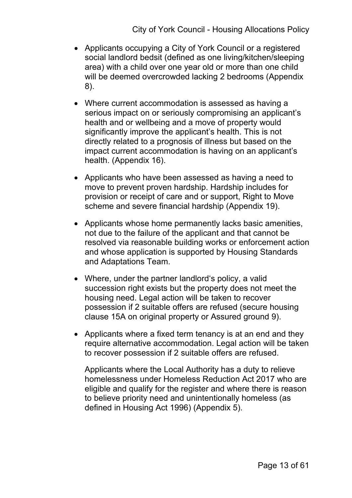- Applicants occupying a City of York Council or a registered social landlord bedsit (defined as one living/kitchen/sleeping area) with a child over one year old or more than one child will be deemed overcrowded lacking 2 bedrooms (Appendix 8).
- Where current accommodation is assessed as having a serious impact on or seriously compromising an applicant's health and or wellbeing and a move of property would significantly improve the applicant's health. This is not directly related to a prognosis of illness but based on the impact current accommodation is having on an applicant's health. (Appendix 16).
- Applicants who have been assessed as having a need to move to prevent proven hardship. Hardship includes for provision or receipt of care and or support, Right to Move scheme and severe financial hardship (Appendix 19).
- Applicants whose home permanently lacks basic amenities, not due to the failure of the applicant and that cannot be resolved via reasonable building works or enforcement action and whose application is supported by Housing Standards and Adaptations Team.
- Where, under the partner landlord's policy, a valid succession right exists but the property does not meet the housing need. Legal action will be taken to recover possession if 2 suitable offers are refused (secure housing clause 15A on original property or Assured ground 9).
- Applicants where a fixed term tenancy is at an end and they require alternative accommodation. Legal action will be taken to recover possession if 2 suitable offers are refused.

Applicants where the Local Authority has a duty to relieve homelessness under Homeless Reduction Act 2017 who are eligible and qualify for the register and where there is reason to believe priority need and unintentionally homeless (as defined in Housing Act 1996) (Appendix 5).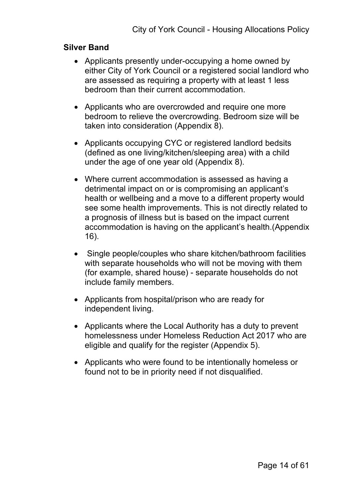#### **Silver Band**

- Applicants presently under-occupying a home owned by either City of York Council or a registered social landlord who are assessed as requiring a property with at least 1 less bedroom than their current accommodation.
- Applicants who are overcrowded and require one more bedroom to relieve the overcrowding. Bedroom size will be taken into consideration (Appendix 8).
- Applicants occupying CYC or registered landlord bedsits (defined as one living/kitchen/sleeping area) with a child under the age of one year old (Appendix 8).
- Where current accommodation is assessed as having a detrimental impact on or is compromising an applicant's health or wellbeing and a move to a different property would see some health improvements. This is not directly related to a prognosis of illness but is based on the impact current accommodation is having on the applicant's health.(Appendix 16).
- Single people/couples who share kitchen/bathroom facilities with separate households who will not be moving with them (for example, shared house) - separate households do not include family members.
- Applicants from hospital/prison who are ready for independent living.
- Applicants where the Local Authority has a duty to prevent homelessness under Homeless Reduction Act 2017 who are eligible and qualify for the register (Appendix 5).
- Applicants who were found to be intentionally homeless or found not to be in priority need if not disqualified.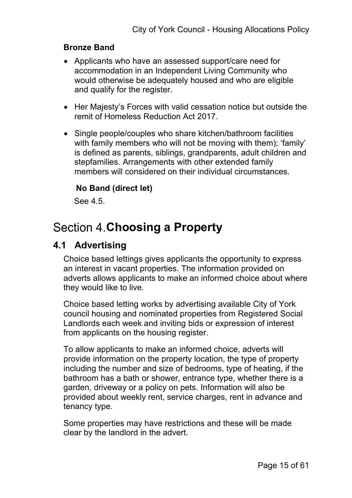#### **Bronze Band**

- Applicants who have an assessed support/care need for accommodation in an Independent Living Community who would otherwise be adequately housed and who are eligible and qualify for the register.
- Her Majesty's Forces with valid cessation notice but outside the remit of Homeless Reduction Act 2017.
- Single people/couples who share kitchen/bathroom facilities with family members who will not be moving with them); 'family' is defined as parents, siblings, grandparents, adult children and stepfamilies. Arrangements with other extended family members will considered on their individual circumstances.

#### **No Band (direct let)**

See 4.5.

## **Section 4. Choosing a Property**

### **4.1 Advertising**

Choice based lettings gives applicants the opportunity to express an interest in vacant properties. The information provided on adverts allows applicants to make an informed choice about where they would like to live.

Choice based letting works by advertising available City of York council housing and nominated properties from Registered Social Landlords each week and inviting bids or expression of interest from applicants on the housing register.

To allow applicants to make an informed choice, adverts will provide information on the property location, the type of property including the number and size of bedrooms, type of heating, if the bathroom has a bath or shower, entrance type, whether there is a garden, driveway or a policy on pets. Information will also be provided about weekly rent, service charges, rent in advance and tenancy type.

Some properties may have restrictions and these will be made clear by the landlord in the advert.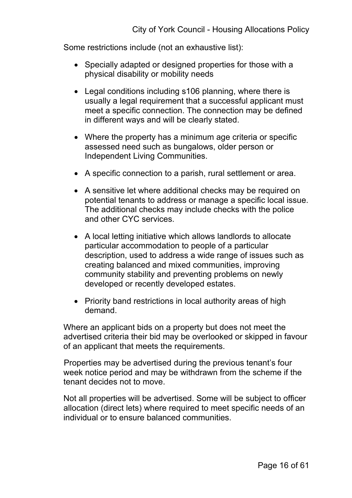Some restrictions include (not an exhaustive list):

- Specially adapted or designed properties for those with a physical disability or mobility needs
- Legal conditions including s106 planning, where there is usually a legal requirement that a successful applicant must meet a specific connection. The connection may be defined in different ways and will be clearly stated.
- Where the property has a minimum age criteria or specific assessed need such as bungalows, older person or Independent Living Communities.
- A specific connection to a parish, rural settlement or area.
- A sensitive let where additional checks may be required on potential tenants to address or manage a specific local issue. The additional checks may include checks with the police and other CYC services.
- A local letting initiative which allows landlords to allocate particular accommodation to people of a particular description, used to address a wide range of issues such as creating balanced and mixed communities, improving community stability and preventing problems on newly developed or recently developed estates.
- Priority band restrictions in local authority areas of high demand.

Where an applicant bids on a property but does not meet the advertised criteria their bid may be overlooked or skipped in favour of an applicant that meets the requirements.

Properties may be advertised during the previous tenant's four week notice period and may be withdrawn from the scheme if the tenant decides not to move.

Not all properties will be advertised. Some will be subject to officer allocation (direct lets) where required to meet specific needs of an individual or to ensure balanced communities.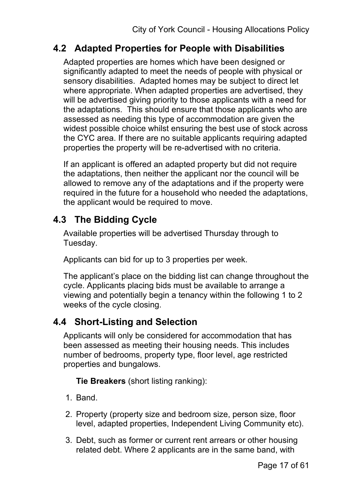## **4.2 Adapted Properties for People with Disabilities**

Adapted properties are homes which have been designed or significantly adapted to meet the needs of people with physical or sensory disabilities. Adapted homes may be subject to direct let where appropriate. When adapted properties are advertised, they will be advertised giving priority to those applicants with a need for the adaptations. This should ensure that those applicants who are assessed as needing this type of accommodation are given the widest possible choice whilst ensuring the best use of stock across the CYC area. If there are no suitable applicants requiring adapted properties the property will be re-advertised with no criteria.

If an applicant is offered an adapted property but did not require the adaptations, then neither the applicant nor the council will be allowed to remove any of the adaptations and if the property were required in the future for a household who needed the adaptations, the applicant would be required to move.

## **4.3 The Bidding Cycle**

Available properties will be advertised Thursday through to Tuesday.

Applicants can bid for up to 3 properties per week.

The applicant's place on the bidding list can change throughout the cycle. Applicants placing bids must be available to arrange a viewing and potentially begin a tenancy within the following 1 to 2 weeks of the cycle closing.

## **4.4 Short-Listing and Selection**

Applicants will only be considered for accommodation that has been assessed as meeting their housing needs. This includes number of bedrooms, property type, floor level, age restricted properties and bungalows.

**Tie Breakers** (short listing ranking):

- 1. Band.
- 2. Property (property size and bedroom size, person size, floor level, adapted properties, Independent Living Community etc).
- 3. Debt, such as former or current rent arrears or other housing related debt. Where 2 applicants are in the same band, with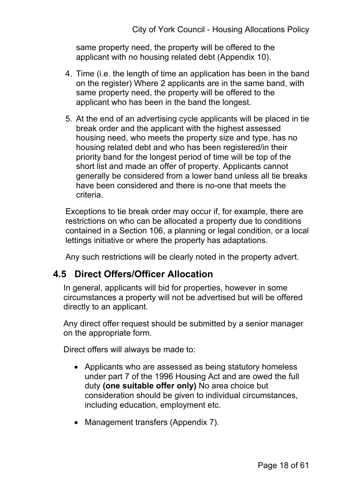same property need, the property will be offered to the applicant with no housing related debt (Appendix 10).

- 4. Time (i.e. the length of time an application has been in the band on the register) Where 2 applicants are in the same band, with same property need, the property will be offered to the applicant who has been in the band the longest.
- 5. At the end of an advertising cycle applicants will be placed in tie break order and the applicant with the highest assessed housing need, who meets the property size and type, has no housing related debt and who has been registered/in their priority band for the longest period of time will be top of the short list and made an offer of property. Applicants cannot generally be considered from a lower band unless all tie breaks have been considered and there is no-one that meets the criteria.

Exceptions to tie break order may occur if, for example, there are restrictions on who can be allocated a property due to conditions contained in a Section 106, a planning or legal condition, or a local lettings initiative or where the property has adaptations.

Any such restrictions will be clearly noted in the property advert.

### **4.5 Direct Offers/Officer Allocation**

In general, applicants will bid for properties, however in some circumstances a property will not be advertised but will be offered directly to an applicant.

Any direct offer request should be submitted by a senior manager on the appropriate form.

Direct offers will always be made to:

- Applicants who are assessed as being statutory homeless under part 7 of the 1996 Housing Act and are owed the full duty **(one suitable offer only)** No area choice but consideration should be given to individual circumstances, including education, employment etc.
- Management transfers (Appendix 7).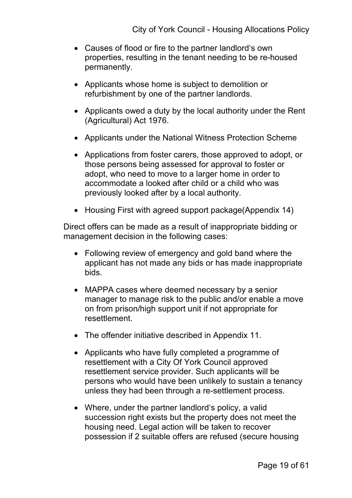- Causes of flood or fire to the partner landlord's own properties, resulting in the tenant needing to be re-housed permanently.
- Applicants whose home is subject to demolition or refurbishment by one of the partner landlords.
- Applicants owed a duty by the local authority under the Rent (Agricultural) Act 1976.
- Applicants under the National Witness Protection Scheme
- Applications from foster carers, those approved to adopt, or those persons being assessed for approval to foster or adopt, who need to move to a larger home in order to accommodate a looked after child or a child who was previously looked after by a local authority.
- Housing First with agreed support package (Appendix 14)

Direct offers can be made as a result of inappropriate bidding or management decision in the following cases:

- Following review of emergency and gold band where the applicant has not made any bids or has made inappropriate bids.
- MAPPA cases where deemed necessary by a senior manager to manage risk to the public and/or enable a move on from prison/high support unit if not appropriate for resettlement.
- The offender initiative described in Appendix 11.
- Applicants who have fully completed a programme of resettlement with a City Of York Council approved resettlement service provider. Such applicants will be persons who would have been unlikely to sustain a tenancy unless they had been through a re-settlement process.
- Where, under the partner landlord's policy, a valid succession right exists but the property does not meet the housing need. Legal action will be taken to recover possession if 2 suitable offers are refused (secure housing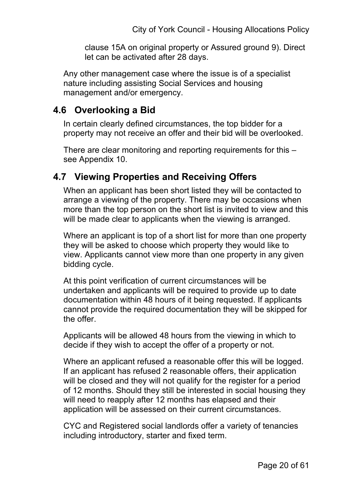clause 15A on original property or Assured ground 9). Direct let can be activated after 28 days.

Any other management case where the issue is of a specialist nature including assisting Social Services and housing management and/or emergency.

### **4.6 Overlooking a Bid**

In certain clearly defined circumstances, the top bidder for a property may not receive an offer and their bid will be overlooked.

There are clear monitoring and reporting requirements for this – see Appendix 10.

## **4.7 Viewing Properties and Receiving Offers**

When an applicant has been short listed they will be contacted to arrange a viewing of the property. There may be occasions when more than the top person on the short list is invited to view and this will be made clear to applicants when the viewing is arranged.

Where an applicant is top of a short list for more than one property they will be asked to choose which property they would like to view. Applicants cannot view more than one property in any given bidding cycle.

At this point verification of current circumstances will be undertaken and applicants will be required to provide up to date documentation within 48 hours of it being requested. If applicants cannot provide the required documentation they will be skipped for the offer.

Applicants will be allowed 48 hours from the viewing in which to decide if they wish to accept the offer of a property or not.

Where an applicant refused a reasonable offer this will be logged. If an applicant has refused 2 reasonable offers, their application will be closed and they will not qualify for the register for a period of 12 months. Should they still be interested in social housing they will need to reapply after 12 months has elapsed and their application will be assessed on their current circumstances.

CYC and Registered social landlords offer a variety of tenancies including introductory, starter and fixed term.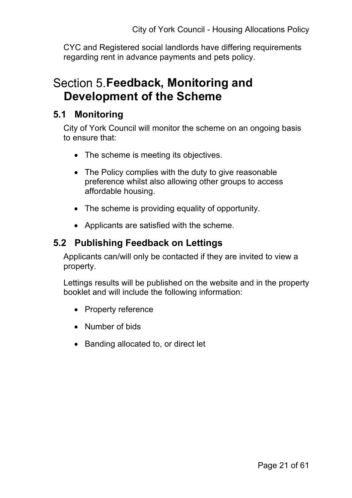CYC and Registered social landlords have differing requirements regarding rent in advance payments and pets policy.

## **Section 5. Feedback, Monitoring and Development of the Scheme**

## **5.1 Monitoring**

City of York Council will monitor the scheme on an ongoing basis to ensure that:

- The scheme is meeting its objectives.
- The Policy complies with the duty to give reasonable preference whilst also allowing other groups to access affordable housing.
- The scheme is providing equality of opportunity.
- Applicants are satisfied with the scheme.

## **5.2 Publishing Feedback on Lettings**

Applicants can/will only be contacted if they are invited to view a property.

Lettings results will be published on the website and in the property booklet and will include the following information:

- Property reference
- Number of bids
- Banding allocated to, or direct let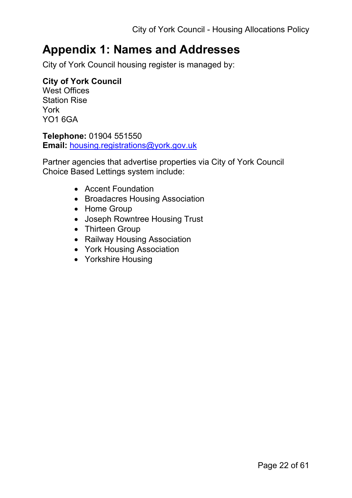## **Appendix 1: Names and Addresses**

City of York Council housing register is managed by:

### **City of York Council**

West Offices Station Rise York YO1 6GA

**Telephone:** 01904 551550 **Email:** [housing.registrations@york.gov.uk](mailto:housing.registrations@york.gov.uk)

Partner agencies that advertise properties via City of York Council Choice Based Lettings system include:

- Accent Foundation
- Broadacres Housing Association
- Home Group
- Joseph Rowntree Housing Trust
- Thirteen Group
- Railway Housing Association
- York Housing Association
- Yorkshire Housing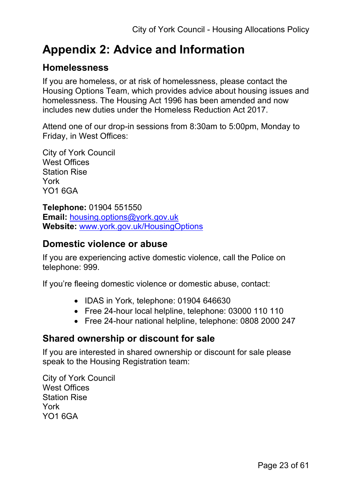# **Appendix 2: Advice and Information**

## **Homelessness**

If you are homeless, or at risk of homelessness, please contact the Housing Options Team, which provides advice about housing issues and homelessness. The Housing Act 1996 has been amended and now includes new duties under the Homeless Reduction Act 2017.

Attend one of our drop-in sessions from 8:30am to 5:00pm, Monday to Friday, in [West Offices:](https://www.york.gov.uk/info/20033/about_us/1203/our_customer_centre)

City of York Council West Offices Station Rise York YO1 6GA

**Telephone:** 01904 551550 **Email:** [housing.options@york.gov.uk](mailto:housing.options@york.gov.uk) **Website:** [www.york.gov.uk/HousingOptions](http://www.york.gov.uk/HousingOptions)

### **Domestic violence or abuse**

If you are experiencing active domestic violence, call the Police on telephone: 999.

If you're fleeing domestic violence or domestic abuse, contact:

- IDAS in York, telephone: 01904 646630
- Free 24-hour local helpline, telephone: 03000 110 110
- Free 24-hour national helpline, telephone: 0808 2000 247

### **Shared ownership or discount for sale**

If you are interested in shared ownership or discount for sale please speak to the Housing Registration team:

City of York Council West Offices Station Rise York YO1 6GA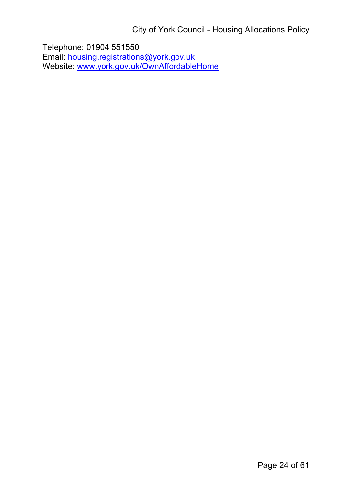City of York Council - Housing Allocations Policy

Telephone: 01904 551550 Email: [housing.registrations@york.gov.uk](mailto:housing.registrations@york.gov.uk) Website: [www.york.gov.uk/OwnAffordableHome](http://www.york.gov.uk/OwnAffordableHome)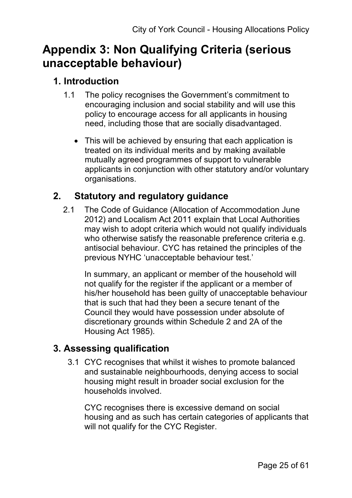## **Appendix 3: Non Qualifying Criteria (serious unacceptable behaviour)**

## **1. Introduction**

- 1.1 The policy recognises the Government's commitment to encouraging inclusion and social stability and will use this policy to encourage access for all applicants in housing need, including those that are socially disadvantaged.
	- This will be achieved by ensuring that each application is treated on its individual merits and by making available mutually agreed programmes of support to vulnerable applicants in conjunction with other statutory and/or voluntary organisations.

## **2. Statutory and regulatory guidance**

2.1 The Code of Guidance (Allocation of Accommodation June 2012) and Localism Act 2011 explain that Local Authorities may wish to adopt criteria which would not qualify individuals who otherwise satisfy the reasonable preference criteria e.g. antisocial behaviour. CYC has retained the principles of the previous NYHC 'unacceptable behaviour test.'

In summary, an applicant or member of the household will not qualify for the register if the applicant or a member of his/her household has been guilty of unacceptable behaviour that is such that had they been a secure tenant of the Council they would have possession under absolute of discretionary grounds within Schedule 2 and 2A of the Housing Act 1985).

## **3. Assessing qualification**

3.1 CYC recognises that whilst it wishes to promote balanced and sustainable neighbourhoods, denying access to social housing might result in broader social exclusion for the households involved.

CYC recognises there is excessive demand on social housing and as such has certain categories of applicants that will not qualify for the CYC Register.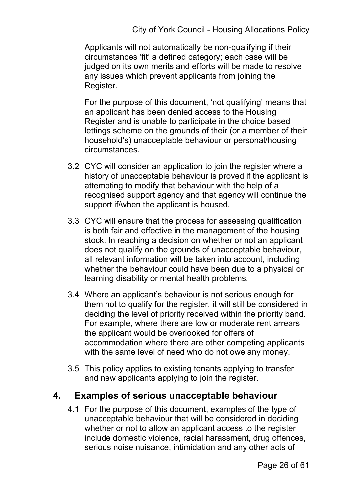Applicants will not automatically be non-qualifying if their circumstances 'fit' a defined category; each case will be judged on its own merits and efforts will be made to resolve any issues which prevent applicants from joining the Register.

For the purpose of this document, 'not qualifying' means that an applicant has been denied access to the Housing Register and is unable to participate in the choice based lettings scheme on the grounds of their (or a member of their household's) unacceptable behaviour or personal/housing circumstances.

- 3.2 CYC will consider an application to join the register where a history of unacceptable behaviour is proved if the applicant is attempting to modify that behaviour with the help of a recognised support agency and that agency will continue the support if/when the applicant is housed.
- 3.3 CYC will ensure that the process for assessing qualification is both fair and effective in the management of the housing stock. In reaching a decision on whether or not an applicant does not qualify on the grounds of unacceptable behaviour, all relevant information will be taken into account, including whether the behaviour could have been due to a physical or learning disability or mental health problems.
- 3.4 Where an applicant's behaviour is not serious enough for them not to qualify for the register, it will still be considered in deciding the level of priority received within the priority band. For example, where there are low or moderate rent arrears the applicant would be overlooked for offers of accommodation where there are other competing applicants with the same level of need who do not owe any money.
- 3.5 This policy applies to existing tenants applying to transfer and new applicants applying to join the register.

### **4. Examples of serious unacceptable behaviour**

4.1 For the purpose of this document, examples of the type of unacceptable behaviour that will be considered in deciding whether or not to allow an applicant access to the register include domestic violence, racial harassment, drug offences, serious noise nuisance, intimidation and any other acts of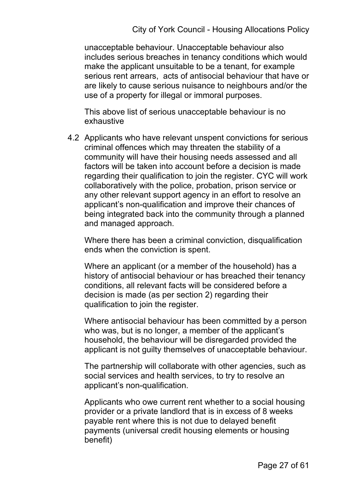unacceptable behaviour. Unacceptable behaviour also includes serious breaches in tenancy conditions which would make the applicant unsuitable to be a tenant, for example serious rent arrears, acts of antisocial behaviour that have or are likely to cause serious nuisance to neighbours and/or the use of a property for illegal or immoral purposes.

This above list of serious unacceptable behaviour is no exhaustive

4.2 Applicants who have relevant unspent convictions for serious criminal offences which may threaten the stability of a community will have their housing needs assessed and all factors will be taken into account before a decision is made regarding their qualification to join the register. CYC will work collaboratively with the police, probation, prison service or any other relevant support agency in an effort to resolve an applicant's non-qualification and improve their chances of being integrated back into the community through a planned and managed approach.

Where there has been a criminal conviction, disqualification ends when the conviction is spent.

Where an applicant (or a member of the household) has a history of antisocial behaviour or has breached their tenancy conditions, all relevant facts will be considered before a decision is made (as per section 2) regarding their qualification to join the register.

Where antisocial behaviour has been committed by a person who was, but is no longer, a member of the applicant's household, the behaviour will be disregarded provided the applicant is not guilty themselves of unacceptable behaviour.

The partnership will collaborate with other agencies, such as social services and health services, to try to resolve an applicant's non-qualification.

Applicants who owe current rent whether to a social housing provider or a private landlord that is in excess of 8 weeks payable rent where this is not due to delayed benefit payments (universal credit housing elements or housing benefit)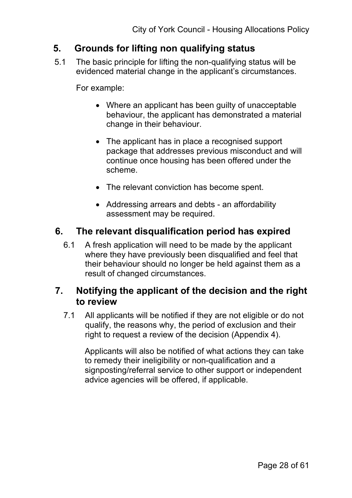## **5. Grounds for lifting non qualifying status**

5.1 The basic principle for lifting the non-qualifying status will be evidenced material change in the applicant's circumstances.

For example:

- Where an applicant has been guilty of unacceptable behaviour, the applicant has demonstrated a material change in their behaviour.
- The applicant has in place a recognised support package that addresses previous misconduct and will continue once housing has been offered under the scheme.
- The relevant conviction has become spent.
- Addressing arrears and debts an affordability assessment may be required.

## **6. The relevant disqualification period has expired**

6.1 A fresh application will need to be made by the applicant where they have previously been disqualified and feel that their behaviour should no longer be held against them as a result of changed circumstances.

### **7. Notifying the applicant of the decision and the right to review**

7.1 All applicants will be notified if they are not eligible or do not qualify, the reasons why, the period of exclusion and their right to request a review of the decision (Appendix 4).

Applicants will also be notified of what actions they can take to remedy their ineligibility or non-qualification and a signposting/referral service to other support or independent advice agencies will be offered, if applicable.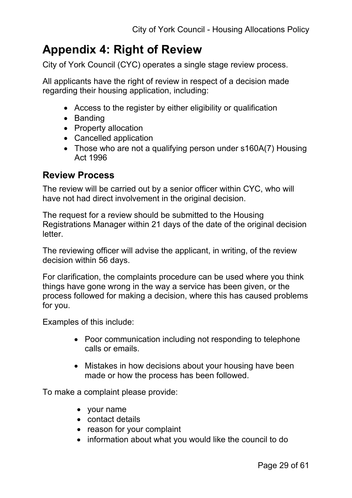## **Appendix 4: Right of Review**

City of York Council (CYC) operates a single stage review process.

All applicants have the right of review in respect of a decision made regarding their housing application, including:

- Access to the register by either eligibility or qualification
- Banding
- Property allocation
- Cancelled application
- Those who are not a qualifying person under s160A(7) Housing Act 1996

#### **Review Process**

The review will be carried out by a senior officer within CYC, who will have not had direct involvement in the original decision.

The request for a review should be submitted to the Housing Registrations Manager within 21 days of the date of the original decision letter.

The reviewing officer will advise the applicant, in writing, of the review decision within 56 days.

For clarification, the complaints procedure can be used where you think things have gone wrong in the way a service has been given, or the process followed for making a decision, where this has caused problems for you.

Examples of this include:

- Poor communication including not responding to telephone calls or emails.
- Mistakes in how decisions about your housing have been made or how the process has been followed.

To make a complaint please provide:

- your name
- contact details
- reason for your complaint
- information about what you would like the council to do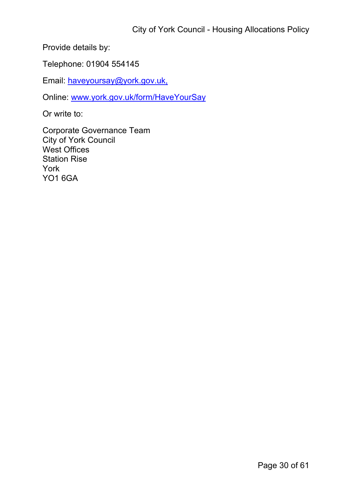Provide details by:

Telephone: 01904 554145

Email: [haveyoursay@york.gov.uk,](mailto:haveyoursay@york.gov.uks)

Online: [www.york.gov.uk/form/HaveYourSay](http://www.york.gov.uk/form/HaveYourSay)

Or write to:

Corporate Governance Team City of York Council West Offices Station Rise York YO1 6GA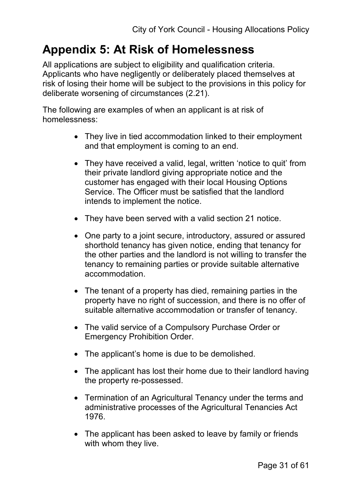## **Appendix 5: At Risk of Homelessness**

All applications are subject to eligibility and qualification criteria. Applicants who have negligently or deliberately placed themselves at risk of losing their home will be subject to the provisions in this policy for deliberate worsening of circumstances (2.21).

The following are examples of when an applicant is at risk of homelessness:

- They live in tied accommodation linked to their employment and that employment is coming to an end.
- They have received a valid, legal, written 'notice to quit' from their private landlord giving appropriate notice and the customer has engaged with their local Housing Options Service. The Officer must be satisfied that the landlord intends to implement the notice.
- They have been served with a valid section 21 notice.
- One party to a joint secure, introductory, assured or assured shorthold tenancy has given notice, ending that tenancy for the other parties and the landlord is not willing to transfer the tenancy to remaining parties or provide suitable alternative accommodation.
- The tenant of a property has died, remaining parties in the property have no right of succession, and there is no offer of suitable alternative accommodation or transfer of tenancy.
- The valid service of a Compulsory Purchase Order or Emergency Prohibition Order.
- The applicant's home is due to be demolished.
- The applicant has lost their home due to their landlord having the property re-possessed.
- Termination of an Agricultural Tenancy under the terms and administrative processes of the Agricultural Tenancies Act 1976.
- The applicant has been asked to leave by family or friends with whom they live.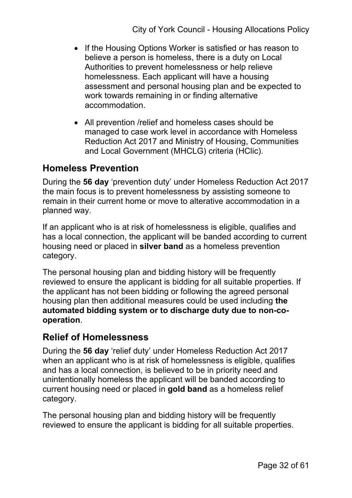- If the Housing Options Worker is satisfied or has reason to believe a person is homeless, there is a duty on Local Authorities to prevent homelessness or help relieve homelessness. Each applicant will have a housing assessment and personal housing plan and be expected to work towards remaining in or finding alternative accommodation.
- All prevention /relief and homeless cases should be managed to case work level in accordance with Homeless Reduction Act 2017 and Ministry of Housing, Communities and Local Government (MHCLG) criteria (HClic).

## **Homeless Prevention**

During the **56 day** 'prevention duty' under Homeless Reduction Act 2017 the main focus is to prevent homelessness by assisting someone to remain in their current home or move to alterative accommodation in a planned way.

If an applicant who is at risk of homelessness is eligible, qualifies and has a local connection, the applicant will be banded according to current housing need or placed in **silver band** as a homeless prevention category.

The personal housing plan and bidding history will be frequently reviewed to ensure the applicant is bidding for all suitable properties. If the applicant has not been bidding or following the agreed personal housing plan then additional measures could be used including **the automated bidding system or to discharge duty due to non-cooperation**.

#### **Relief of Homelessness**

During the **56 day** 'relief duty' under Homeless Reduction Act 2017 when an applicant who is at risk of homelessness is eligible, qualifies and has a local connection, is believed to be in priority need and unintentionally homeless the applicant will be banded according to current housing need or placed in **gold band** as a homeless relief category.

The personal housing plan and bidding history will be frequently reviewed to ensure the applicant is bidding for all suitable properties.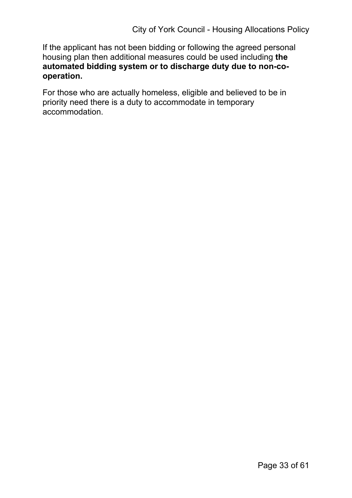If the applicant has not been bidding or following the agreed personal housing plan then additional measures could be used including **the automated bidding system or to discharge duty due to non-cooperation.**

For those who are actually homeless, eligible and believed to be in priority need there is a duty to accommodate in temporary accommodation.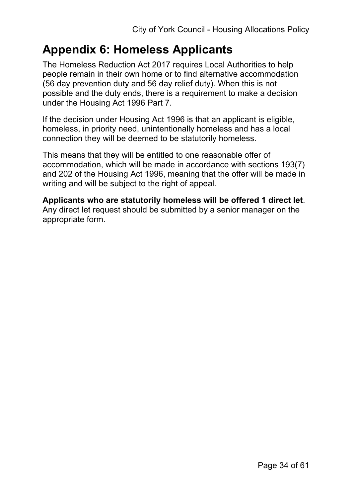## **Appendix 6: Homeless Applicants**

The Homeless Reduction Act 2017 requires Local Authorities to help people remain in their own home or to find alternative accommodation (56 day prevention duty and 56 day relief duty). When this is not possible and the duty ends, there is a requirement to make a decision under the Housing Act 1996 Part 7.

If the decision under Housing Act 1996 is that an applicant is eligible, homeless, in priority need, unintentionally homeless and has a local connection they will be deemed to be statutorily homeless.

This means that they will be entitled to one reasonable offer of accommodation, which will be made in accordance with sections 193(7) and 202 of the Housing Act 1996, meaning that the offer will be made in writing and will be subject to the right of appeal.

**Applicants who are statutorily homeless will be offered 1 direct let**. Any direct let request should be submitted by a senior manager on the appropriate form.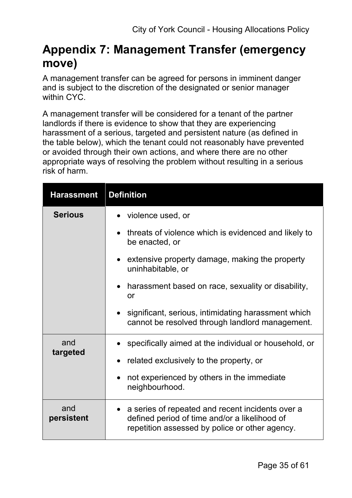## **Appendix 7: Management Transfer (emergency move)**

A management transfer can be agreed for persons in imminent danger and is subject to the discretion of the designated or senior manager within CYC.

A management transfer will be considered for a tenant of the partner landlords if there is evidence to show that they are experiencing harassment of a serious, targeted and persistent nature (as defined in the table below), which the tenant could not reasonably have prevented or avoided through their own actions, and where there are no other appropriate ways of resolving the problem without resulting in a serious risk of harm.

| <b>Harassment</b> | <b>Definition</b>                                                                                                                                   |
|-------------------|-----------------------------------------------------------------------------------------------------------------------------------------------------|
| <b>Serious</b>    | violence used, or                                                                                                                                   |
|                   | threats of violence which is evidenced and likely to<br>be enacted, or                                                                              |
|                   | extensive property damage, making the property<br>uninhabitable, or                                                                                 |
|                   | harassment based on race, sexuality or disability,<br>or                                                                                            |
|                   | significant, serious, intimidating harassment which<br>cannot be resolved through landlord management.                                              |
| and               | specifically aimed at the individual or household, or                                                                                               |
| targeted          | related exclusively to the property, or                                                                                                             |
|                   | not experienced by others in the immediate<br>neighbourhood.                                                                                        |
| and<br>persistent | a series of repeated and recent incidents over a<br>defined period of time and/or a likelihood of<br>repetition assessed by police or other agency. |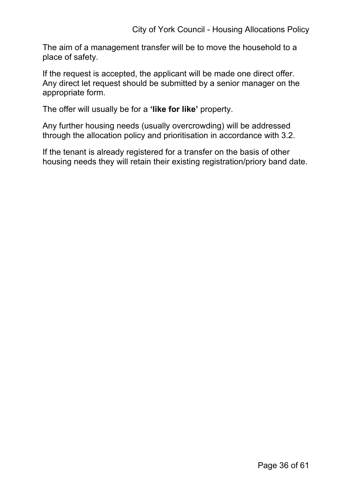The aim of a management transfer will be to move the household to a place of safety.

If the request is accepted, the applicant will be made one direct offer. Any direct let request should be submitted by a senior manager on the appropriate form.

The offer will usually be for a **'like for like'** property.

Any further housing needs (usually overcrowding) will be addressed through the allocation policy and prioritisation in accordance with 3.2.

If the tenant is already registered for a transfer on the basis of other housing needs they will retain their existing registration/priory band date.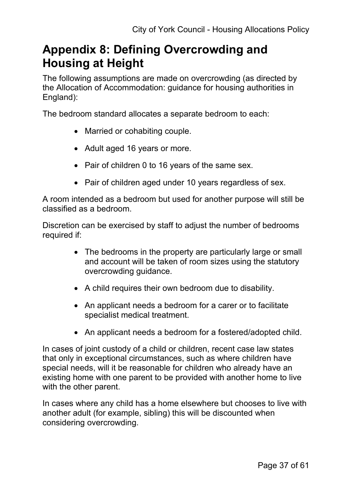## **Appendix 8: Defining Overcrowding and Housing at Height**

The following assumptions are made on overcrowding (as directed by the Allocation of Accommodation: guidance for housing authorities in England):

The bedroom standard allocates a separate bedroom to each:

- Married or cohabiting couple.
- Adult aged 16 years or more.
- Pair of children 0 to 16 years of the same sex.
- Pair of children aged under 10 years regardless of sex.

A room intended as a bedroom but used for another purpose will still be classified as a bedroom.

Discretion can be exercised by staff to adjust the number of bedrooms required if:

- The bedrooms in the property are particularly large or small and account will be taken of room sizes using the statutory overcrowding guidance.
- A child requires their own bedroom due to disability.
- An applicant needs a bedroom for a carer or to facilitate specialist medical treatment.
- An applicant needs a bedroom for a fostered/adopted child.

In cases of joint custody of a child or children, recent case law states that only in exceptional circumstances, such as where children have special needs, will it be reasonable for children who already have an existing home with one parent to be provided with another home to live with the other parent.

In cases where any child has a home elsewhere but chooses to live with another adult (for example, sibling) this will be discounted when considering overcrowding.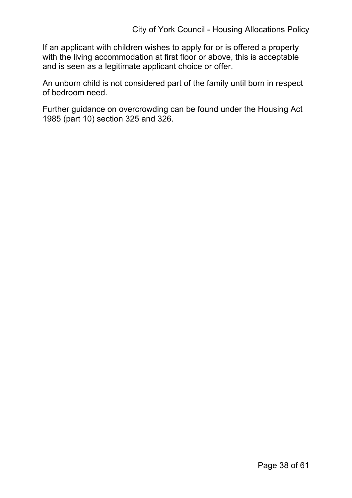If an applicant with children wishes to apply for or is offered a property with the living accommodation at first floor or above, this is acceptable and is seen as a legitimate applicant choice or offer.

An unborn child is not considered part of the family until born in respect of bedroom need.

Further guidance on overcrowding can be found under the Housing Act 1985 (part 10) section 325 and 326.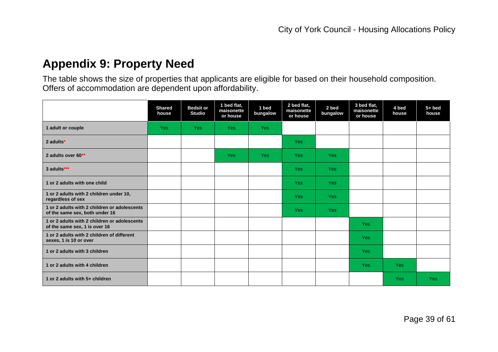## **Appendix 9: Property Need**

The table shows the size of properties that applicants are eligible for based on their household composition. Offers of accommodation are dependent upon affordability.

|                                                                                | <b>Shared</b><br>house | <b>Bedsit or</b><br><b>Studio</b> | 1 bed flat,<br>maisonette<br>or house | 1 bed<br>bungalow | 2 bed flat,<br>maisonette<br>or house | 2 bed<br>bungalow | 3 bed flat,<br>maisonette<br>or house | 4 bed<br>house | $5+$ bed<br>house |
|--------------------------------------------------------------------------------|------------------------|-----------------------------------|---------------------------------------|-------------------|---------------------------------------|-------------------|---------------------------------------|----------------|-------------------|
| 1 adult or couple                                                              | <b>Yes</b>             | <b>Yes</b>                        | <b>Yes</b>                            | <b>Yes</b>        |                                       |                   |                                       |                |                   |
| 2 adults*                                                                      |                        |                                   |                                       |                   | <b>Yes</b>                            |                   |                                       |                |                   |
| 2 adults over 60**                                                             |                        |                                   | <b>Yes</b>                            | <b>Yes</b>        | <b>Yes</b>                            | <b>Yes</b>        |                                       |                |                   |
| 3 adults***                                                                    |                        |                                   |                                       |                   | <b>Yes</b>                            | <b>Yes</b>        |                                       |                |                   |
| 1 or 2 adults with one child                                                   |                        |                                   |                                       |                   | <b>Yes</b>                            | <b>Yes</b>        |                                       |                |                   |
| 1 or 2 adults with 2 children under 10,<br>regardless of sex                   |                        |                                   |                                       |                   | <b>Yes</b>                            | <b>Yes</b>        |                                       |                |                   |
| 1 or 2 adults with 2 children or adolescents<br>of the same sex, both under 16 |                        |                                   |                                       |                   | <b>Yes</b>                            | <b>Yes</b>        |                                       |                |                   |
| 1 or 2 adults with 2 children or adolescents<br>of the same sex, 1 is over 16  |                        |                                   |                                       |                   |                                       |                   | <b>Yes</b>                            |                |                   |
| 1 or 2 adults with 2 children of different<br>sexes, 1 is 10 or over           |                        |                                   |                                       |                   |                                       |                   | <b>Yes</b>                            |                |                   |
| 1 or 2 adults with 3 children                                                  |                        |                                   |                                       |                   |                                       |                   | <b>Yes</b>                            |                |                   |
| 1 or 2 adults with 4 children                                                  |                        |                                   |                                       |                   |                                       |                   | <b>Yes</b>                            | <b>Yes</b>     |                   |
| 1 or 2 adults with 5+ children                                                 |                        |                                   |                                       |                   |                                       |                   |                                       | <b>Yes</b>     | <b>Yes</b>        |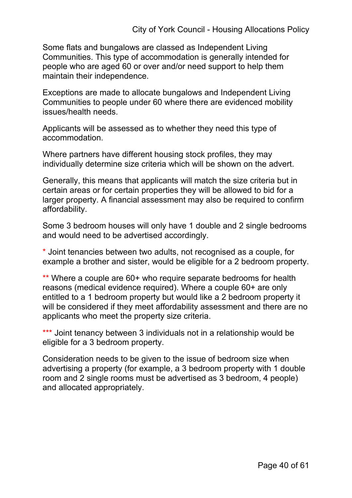Some flats and bungalows are classed as Independent Living Communities. This type of accommodation is generally intended for people who are aged 60 or over and/or need support to help them maintain their independence.

Exceptions are made to allocate bungalows and Independent Living Communities to people under 60 where there are evidenced mobility issues/health needs.

Applicants will be assessed as to whether they need this type of accommodation.

Where partners have different housing stock profiles, they may individually determine size criteria which will be shown on the advert.

Generally, this means that applicants will match the size criteria but in certain areas or for certain properties they will be allowed to bid for a larger property. A financial assessment may also be required to confirm affordability.

Some 3 bedroom houses will only have 1 double and 2 single bedrooms and would need to be advertised accordingly.

\* Joint tenancies between two adults, not recognised as a couple, for example a brother and sister, would be eligible for a 2 bedroom property.

\*\* Where a couple are 60+ who require separate bedrooms for health reasons (medical evidence required). Where a couple 60+ are only entitled to a 1 bedroom property but would like a 2 bedroom property it will be considered if they meet affordability assessment and there are no applicants who meet the property size criteria.

\*\*\* Joint tenancy between 3 individuals not in a relationship would be eligible for a 3 bedroom property.

Consideration needs to be given to the issue of bedroom size when advertising a property (for example, a 3 bedroom property with 1 double room and 2 single rooms must be advertised as 3 bedroom, 4 people) and allocated appropriately.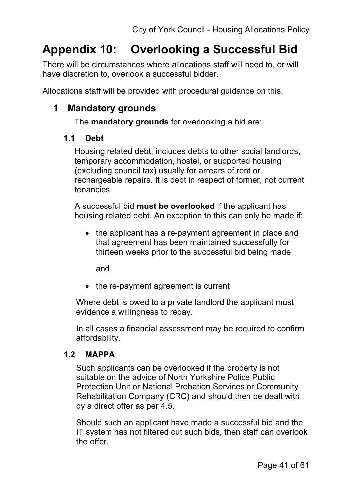# **Appendix 10: Overlooking a Successful Bid**

There will be circumstances where allocations staff will need to, or will have discretion to, overlook a successful bidder.

Allocations staff will be provided with procedural guidance on this.

## **1 Mandatory grounds**

The **mandatory grounds** for overlooking a bid are:

#### **1.1 Debt**

Housing related debt, includes debts to other social landlords, temporary accommodation, hostel, or supported housing (excluding council tax) usually for arrears of rent or rechargeable repairs. It is debt in respect of former, not current tenancies.

A successful bid **must be overlooked** if the applicant has housing related debt. An exception to this can only be made if:

• the applicant has a re-payment agreement in place and that agreement has been maintained successfully for thirteen weeks prior to the successful bid being made

and

• the re-payment agreement is current

Where debt is owed to a private landlord the applicant must evidence a willingness to repay.

In all cases a financial assessment may be required to confirm affordability.

#### **1.2 MAPPA**

Such applicants can be overlooked if the property is not suitable on the advice of North Yorkshire Police Public Protection Unit or National Probation Services or Community Rehabilitation Company (CRC) and should then be dealt with by a direct offer as per 4.5.

Should such an applicant have made a successful bid and the IT system has not filtered out such bids, then staff can overlook the offer.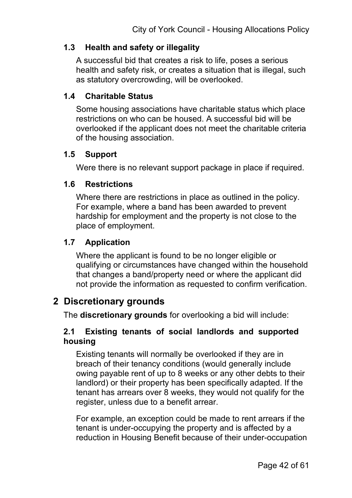#### **1.3 Health and safety or illegality**

A successful bid that creates a risk to life, poses a serious health and safety risk, or creates a situation that is illegal, such as statutory overcrowding, will be overlooked.

#### **1.4 Charitable Status**

Some housing associations have charitable status which place restrictions on who can be housed. A successful bid will be overlooked if the applicant does not meet the charitable criteria of the housing association.

#### **1.5 Support**

Were there is no relevant support package in place if required.

#### **1.6 Restrictions**

Where there are restrictions in place as outlined in the policy. For example, where a band has been awarded to prevent hardship for employment and the property is not close to the place of employment.

#### **1.7 Application**

Where the applicant is found to be no longer eligible or qualifying or circumstances have changed within the household that changes a band/property need or where the applicant did not provide the information as requested to confirm verification.

## **2 Discretionary grounds**

The **discretionary grounds** for overlooking a bid will include:

#### **2.1 Existing tenants of social landlords and supported housing**

Existing tenants will normally be overlooked if they are in breach of their tenancy conditions (would generally include owing payable rent of up to 8 weeks or any other debts to their landlord) or their property has been specifically adapted. If the tenant has arrears over 8 weeks, they would not qualify for the register, unless due to a benefit arrear.

For example, an exception could be made to rent arrears if the tenant is under-occupying the property and is affected by a reduction in Housing Benefit because of their under-occupation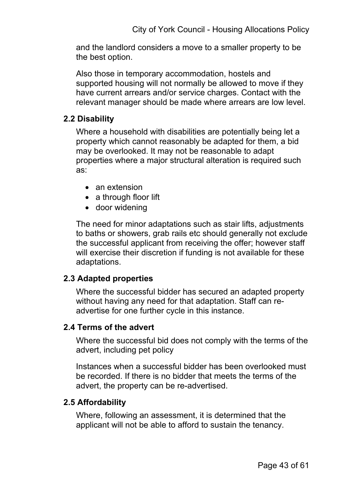and the landlord considers a move to a smaller property to be the best option.

Also those in temporary accommodation, hostels and supported housing will not normally be allowed to move if they have current arrears and/or service charges. Contact with the relevant manager should be made where arrears are low level.

#### **2.2 Disability**

Where a household with disabilities are potentially being let a property which cannot reasonably be adapted for them, a bid may be overlooked. It may not be reasonable to adapt properties where a major structural alteration is required such as:

- an extension
- a through floor lift
- door widening

The need for minor adaptations such as stair lifts, adjustments to baths or showers, grab rails etc should generally not exclude the successful applicant from receiving the offer; however staff will exercise their discretion if funding is not available for these adaptations.

#### **2.3 Adapted properties**

Where the successful bidder has secured an adapted property without having any need for that adaptation. Staff can readvertise for one further cycle in this instance.

#### **2.4 Terms of the advert**

Where the successful bid does not comply with the terms of the advert, including pet policy

Instances when a successful bidder has been overlooked must be recorded. If there is no bidder that meets the terms of the advert, the property can be re-advertised.

#### **2.5 Affordability**

Where, following an assessment, it is determined that the applicant will not be able to afford to sustain the tenancy.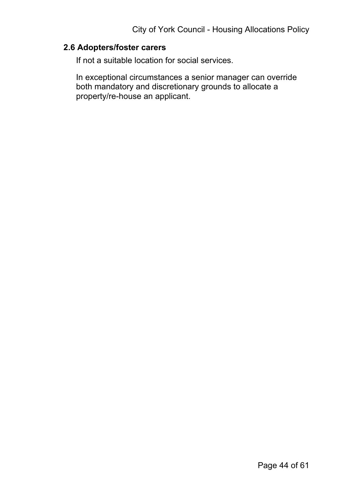#### **2.6 Adopters/foster carers**

If not a suitable location for social services.

In exceptional circumstances a senior manager can override both mandatory and discretionary grounds to allocate a property/re-house an applicant.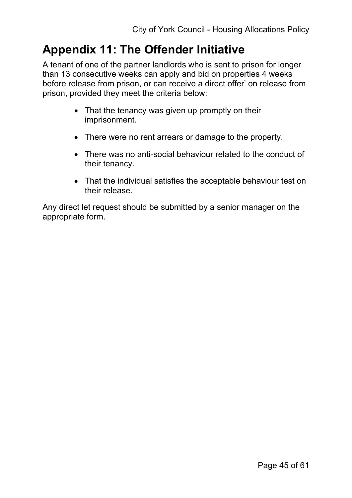## **Appendix 11: The Offender Initiative**

A tenant of one of the partner landlords who is sent to prison for longer than 13 consecutive weeks can apply and bid on properties 4 weeks before release from prison, or can receive a direct offer' on release from prison, provided they meet the criteria below:

- That the tenancy was given up promptly on their imprisonment.
- There were no rent arrears or damage to the property.
- There was no anti-social behaviour related to the conduct of their tenancy.
- That the individual satisfies the acceptable behaviour test on their release.

Any direct let request should be submitted by a senior manager on the appropriate form.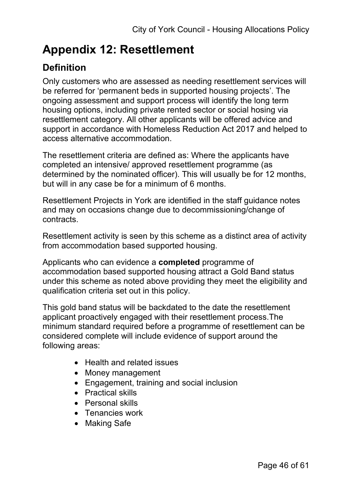## **Appendix 12: Resettlement**

## **Definition**

Only customers who are assessed as needing resettlement services will be referred for 'permanent beds in supported housing projects'. The ongoing assessment and support process will identify the long term housing options, including private rented sector or social hosing via resettlement category. All other applicants will be offered advice and support in accordance with Homeless Reduction Act 2017 and helped to access alternative accommodation.

The resettlement criteria are defined as: Where the applicants have completed an intensive/ approved resettlement programme (as determined by the nominated officer). This will usually be for 12 months, but will in any case be for a minimum of 6 months.

Resettlement Projects in York are identified in the staff guidance notes and may on occasions change due to decommissioning/change of contracts.

Resettlement activity is seen by this scheme as a distinct area of activity from accommodation based supported housing.

Applicants who can evidence a **completed** programme of accommodation based supported housing attract a Gold Band status under this scheme as noted above providing they meet the eligibility and qualification criteria set out in this policy.

This gold band status will be backdated to the date the resettlement applicant proactively engaged with their resettlement process.The minimum standard required before a programme of resettlement can be considered complete will include evidence of support around the following areas:

- Health and related issues
- Money management
- Engagement, training and social inclusion
- Practical skills
- Personal skills
- Tenancies work
- Making Safe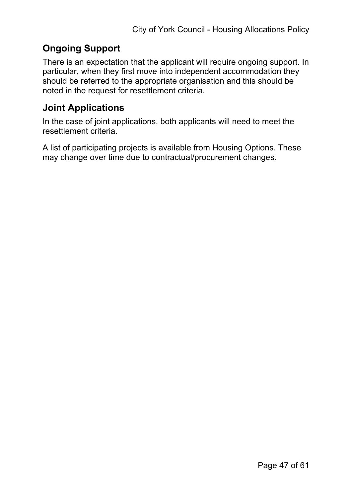## **Ongoing Support**

There is an expectation that the applicant will require ongoing support. In particular, when they first move into independent accommodation they should be referred to the appropriate organisation and this should be noted in the request for resettlement criteria.

## **Joint Applications**

In the case of joint applications, both applicants will need to meet the resettlement criteria.

A list of participating projects is available from Housing Options. These may change over time due to contractual/procurement changes.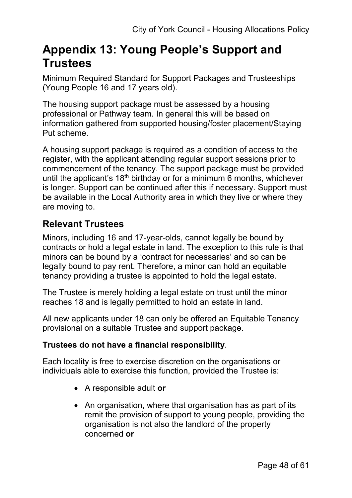## **Appendix 13: Young People's Support and Trustees**

Minimum Required Standard for Support Packages and Trusteeships (Young People 16 and 17 years old).

The housing support package must be assessed by a housing professional or Pathway team. In general this will be based on information gathered from supported housing/foster placement/Staying Put scheme.

A housing support package is required as a condition of access to the register, with the applicant attending regular support sessions prior to commencement of the tenancy. The support package must be provided until the applicant's  $18<sup>th</sup>$  birthday or for a minimum 6 months, whichever is longer. Support can be continued after this if necessary. Support must be available in the Local Authority area in which they live or where they are moving to.

## **Relevant Trustees**

Minors, including 16 and 17-year-olds, cannot legally be bound by contracts or hold a legal estate in land. The exception to this rule is that minors can be bound by a 'contract for necessaries' and so can be legally bound to pay rent. Therefore, a minor can hold an equitable tenancy providing a trustee is appointed to hold the legal estate.

The Trustee is merely holding a legal estate on trust until the minor reaches 18 and is legally permitted to hold an estate in land.

All new applicants under 18 can only be offered an Equitable Tenancy provisional on a suitable Trustee and support package.

#### **Trustees do not have a financial responsibility**.

Each locality is free to exercise discretion on the organisations or individuals able to exercise this function, provided the Trustee is:

- A responsible adult **or**
- An organisation, where that organisation has as part of its remit the provision of support to young people, providing the organisation is not also the landlord of the property concerned **or**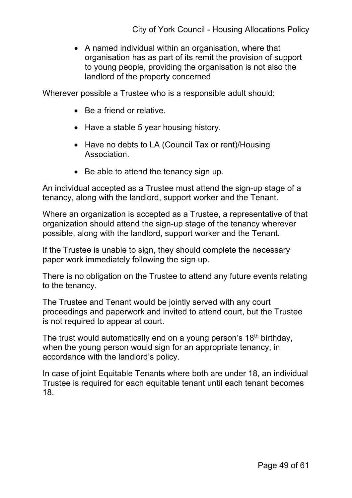• A named individual within an organisation, where that organisation has as part of its remit the provision of support to young people, providing the organisation is not also the landlord of the property concerned

Wherever possible a Trustee who is a responsible adult should:

- Be a friend or relative.
- Have a stable 5 year housing history.
- Have no debts to LA (Council Tax or rent)/Housing **Association**
- Be able to attend the tenancy sign up.

An individual accepted as a Trustee must attend the sign-up stage of a tenancy, along with the landlord, support worker and the Tenant.

Where an organization is accepted as a Trustee, a representative of that organization should attend the sign-up stage of the tenancy wherever possible, along with the landlord, support worker and the Tenant.

If the Trustee is unable to sign, they should complete the necessary paper work immediately following the sign up.

There is no obligation on the Trustee to attend any future events relating to the tenancy.

The Trustee and Tenant would be jointly served with any court proceedings and paperwork and invited to attend court, but the Trustee is not required to appear at court.

The trust would automatically end on a young person's  $18<sup>th</sup>$  birthday, when the young person would sign for an appropriate tenancy, in accordance with the landlord's policy.

In case of joint Equitable Tenants where both are under 18, an individual Trustee is required for each equitable tenant until each tenant becomes 18.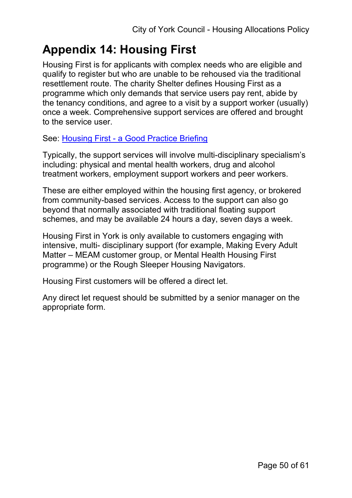# **Appendix 14: Housing First**

Housing First is for applicants with complex needs who are eligible and qualify to register but who are unable to be rehoused via the traditional resettlement route. The charity Shelter defines Housing First as a programme which only demands that service users pay rent, abide by the tenancy conditions, and agree to a visit by a support worker (usually) once a week. Comprehensive support services are offered and brought to the service user.

See: [Housing First - a Good Practice Briefing](https://england.shelter.org.uk/professional_resources/policy_and_research/policy_library/housing_first_-_a_good_practice_briefing)

Typically, the support services will involve multi-disciplinary specialism's including: physical and mental health workers, drug and alcohol treatment workers, employment support workers and peer workers.

These are either employed within the housing first agency, or brokered from community-based services. Access to the support can also go beyond that normally associated with traditional floating support schemes, and may be available 24 hours a day, seven days a week.

Housing First in York is only available to customers engaging with intensive, multi- disciplinary support (for example, Making Every Adult Matter – MEAM customer group, or Mental Health Housing First programme) or the Rough Sleeper Housing Navigators.

Housing First customers will be offered a direct let.

Any direct let request should be submitted by a senior manager on the appropriate form.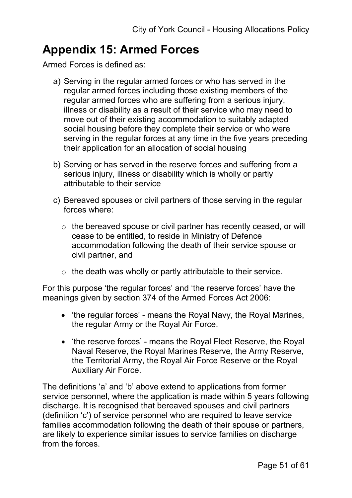## **Appendix 15: Armed Forces**

Armed Forces is defined as:

- a) Serving in the regular armed forces or who has served in the regular armed forces including those existing members of the regular armed forces who are suffering from a serious injury, illness or disability as a result of their service who may need to move out of their existing accommodation to suitably adapted social housing before they complete their service or who were serving in the regular forces at any time in the five years preceding their application for an allocation of social housing
- b) Serving or has served in the reserve forces and suffering from a serious injury, illness or disability which is wholly or partly attributable to their service
- c) Bereaved spouses or civil partners of those serving in the regular forces where:
	- o the bereaved spouse or civil partner has recently ceased, or will cease to be entitled, to reside in Ministry of Defence accommodation following the death of their service spouse or civil partner, and
	- $\circ$  the death was wholly or partly attributable to their service.

For this purpose 'the regular forces' and 'the reserve forces' have the meanings given by section 374 of the Armed Forces Act 2006:

- 'the regular forces' means the Royal Navy, the Royal Marines, the regular Army or the Royal Air Force.
- 'the reserve forces' means the Royal Fleet Reserve, the Royal Naval Reserve, the Royal Marines Reserve, the Army Reserve, the Territorial Army, the Royal Air Force Reserve or the Royal Auxiliary Air Force.

The definitions 'a' and 'b' above extend to applications from former service personnel, where the application is made within 5 years following discharge. It is recognised that bereaved spouses and civil partners (definition 'c') of service personnel who are required to leave service families accommodation following the death of their spouse or partners, are likely to experience similar issues to service families on discharge from the forces.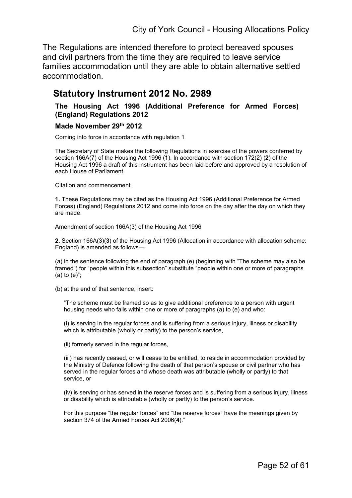The Regulations are intended therefore to protect bereaved spouses and civil partners from the time they are required to leave service families accommodation until they are able to obtain alternative settled accommodation.

#### **Statutory Instrument 2012 No. 2989**

#### **The Housing Act 1996 (Additional Preference for Armed Forces) (England) Regulations 2012**

#### **Made November 29th 2012**

Coming into force in accordance with regulation 1

The Secretary of State makes the following Regulations in exercise of the powers conferred by section 166A(7) of the Housing Act 1996 (**[1](http://www.legislation.gov.uk/ukdsi/2012/9780111529508#f00001)**). In accordance with section 172(2) (**[2](http://www.legislation.gov.uk/ukdsi/2012/9780111529508#f00002)**) of the Housing Act 1996 a draft of this instrument has been laid before and approved by a resolution of each House of Parliament.

Citation and commencement

**1.** These Regulations may be cited as the Housing Act 1996 (Additional Preference for Armed Forces) (England) Regulations 2012 and come into force on the day after the day on which they are made.

Amendment of section 166A(3) of the Housing Act 1996

**2.** Section 166A(3)(**[3](http://www.legislation.gov.uk/ukdsi/2012/9780111529508#f00003)**) of the Housing Act 1996 (Allocation in accordance with allocation scheme: England) is amended as follows—

(a) in the sentence following the end of paragraph (e) (beginning with "The scheme may also be framed") for "people within this subsection" substitute "people within one or more of paragraphs (a) to (e)";

(b) at the end of that sentence, insert:

"The scheme must be framed so as to give additional preference to a person with urgent housing needs who falls within one or more of paragraphs (a) to (e) and who:

(i) is serving in the regular forces and is suffering from a serious injury, illness or disability which is attributable (wholly or partly) to the person's service,

(ii) formerly served in the regular forces,

(iii) has recently ceased, or will cease to be entitled, to reside in accommodation provided by the Ministry of Defence following the death of that person's spouse or civil partner who has served in the regular forces and whose death was attributable (wholly or partly) to that service, or

(iv) is serving or has served in the reserve forces and is suffering from a serious injury, illness or disability which is attributable (wholly or partly) to the person's service.

For this purpose "the regular forces" and "the reserve forces" have the meanings given by section 374 of the Armed Forces Act 2006(**[4](http://www.legislation.gov.uk/ukdsi/2012/9780111529508#f00004)**)."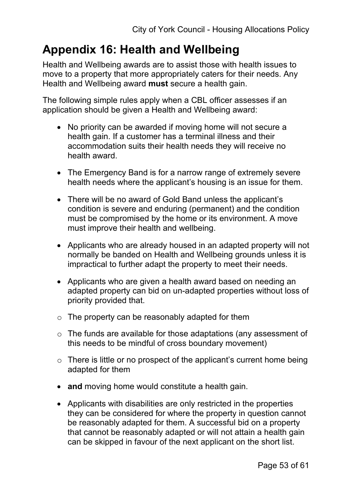## **Appendix 16: Health and Wellbeing**

Health and Wellbeing awards are to assist those with health issues to move to a property that more appropriately caters for their needs. Any Health and Wellbeing award **must** secure a health gain.

The following simple rules apply when a CBL officer assesses if an application should be given a Health and Wellbeing award:

- No priority can be awarded if moving home will not secure a health gain. If a customer has a terminal illness and their accommodation suits their health needs they will receive no health award.
- The Emergency Band is for a narrow range of extremely severe health needs where the applicant's housing is an issue for them.
- There will be no award of Gold Band unless the applicant's condition is severe and enduring (permanent) and the condition must be compromised by the home or its environment. A move must improve their health and wellbeing.
- Applicants who are already housed in an adapted property will not normally be banded on Health and Wellbeing grounds unless it is impractical to further adapt the property to meet their needs.
- Applicants who are given a health award based on needing an adapted property can bid on un-adapted properties without loss of priority provided that.
- $\circ$  The property can be reasonably adapted for them
- o The funds are available for those adaptations (any assessment of this needs to be mindful of cross boundary movement)
- $\circ$  There is little or no prospect of the applicant's current home being adapted for them
- **and** moving home would constitute a health gain.
- Applicants with disabilities are only restricted in the properties they can be considered for where the property in question cannot be reasonably adapted for them. A successful bid on a property that cannot be reasonably adapted or will not attain a health gain can be skipped in favour of the next applicant on the short list.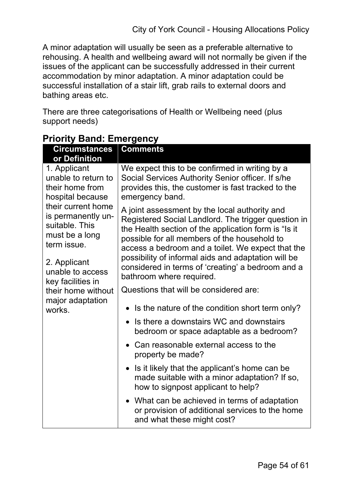A minor adaptation will usually be seen as a preferable alternative to rehousing. A health and wellbeing award will not normally be given if the issues of the applicant can be successfully addressed in their current accommodation by minor adaptation. A minor adaptation could be successful installation of a stair lift, grab rails to external doors and bathing areas etc.

There are three categorisations of Health or Wellbeing need (plus support needs)

| Circumstances                                                                                                                                        | <b>Comments</b>                                                                                                                                                                                                                                                                                                                                                                                           |  |  |  |  |
|------------------------------------------------------------------------------------------------------------------------------------------------------|-----------------------------------------------------------------------------------------------------------------------------------------------------------------------------------------------------------------------------------------------------------------------------------------------------------------------------------------------------------------------------------------------------------|--|--|--|--|
| or Definition<br>1. Applicant<br>unable to return to<br>their home from<br>hospital because                                                          | We expect this to be confirmed in writing by a<br>Social Services Authority Senior officer. If s/he<br>provides this, the customer is fast tracked to the<br>emergency band.                                                                                                                                                                                                                              |  |  |  |  |
| their current home<br>is permanently un-<br>suitable. This<br>must be a long<br>term issue.<br>2. Applicant<br>unable to access<br>key facilities in | A joint assessment by the local authority and<br>Registered Social Landlord. The trigger question in<br>the Health section of the application form is "Is it<br>possible for all members of the household to<br>access a bedroom and a toilet. We expect that the<br>possibility of informal aids and adaptation will be<br>considered in terms of 'creating' a bedroom and a<br>bathroom where required. |  |  |  |  |
| their home without                                                                                                                                   | Questions that will be considered are:                                                                                                                                                                                                                                                                                                                                                                    |  |  |  |  |
| major adaptation<br>works.                                                                                                                           | Is the nature of the condition short term only?                                                                                                                                                                                                                                                                                                                                                           |  |  |  |  |
|                                                                                                                                                      | Is there a downstairs WC and downstairs<br>$\bullet$<br>bedroom or space adaptable as a bedroom?                                                                                                                                                                                                                                                                                                          |  |  |  |  |
|                                                                                                                                                      | Can reasonable external access to the<br>property be made?                                                                                                                                                                                                                                                                                                                                                |  |  |  |  |
|                                                                                                                                                      | Is it likely that the applicant's home can be<br>$\bullet$<br>made suitable with a minor adaptation? If so,<br>how to signpost applicant to help?                                                                                                                                                                                                                                                         |  |  |  |  |
|                                                                                                                                                      | • What can be achieved in terms of adaptation<br>or provision of additional services to the home<br>and what these might cost?                                                                                                                                                                                                                                                                            |  |  |  |  |

## **Priority Band: Emergency**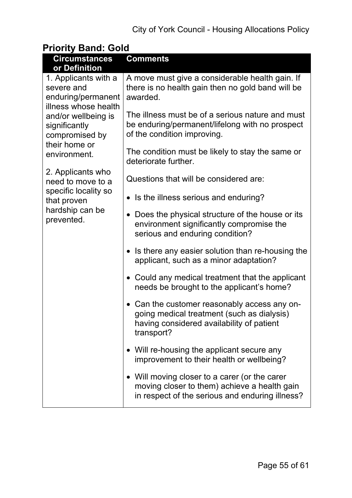## **Priority Band: Gold**

| <b>Circumstances</b>                                                                              | <b>Comments</b>                                                                                                                                       |
|---------------------------------------------------------------------------------------------------|-------------------------------------------------------------------------------------------------------------------------------------------------------|
| or Definition<br>1. Applicants with a<br>severe and<br>enduring/permanent<br>illness whose health | A move must give a considerable health gain. If<br>there is no health gain then no gold band will be<br>awarded.                                      |
| and/or wellbeing is<br>significantly<br>compromised by<br>their home or                           | The illness must be of a serious nature and must<br>be enduring/permanent/lifelong with no prospect<br>of the condition improving.                    |
| environment.                                                                                      | The condition must be likely to stay the same or<br>deteriorate further.                                                                              |
| 2. Applicants who<br>need to move to a                                                            | Questions that will be considered are:                                                                                                                |
| specific locality so<br>that proven                                                               | • Is the illness serious and enduring?                                                                                                                |
| hardship can be<br>prevented.                                                                     | Does the physical structure of the house or its<br>environment significantly compromise the<br>serious and enduring condition?                        |
|                                                                                                   | • Is there any easier solution than re-housing the<br>applicant, such as a minor adaptation?                                                          |
|                                                                                                   | • Could any medical treatment that the applicant<br>needs be brought to the applicant's home?                                                         |
|                                                                                                   | • Can the customer reasonably access any on-<br>going medical treatment (such as dialysis)<br>having considered availability of patient<br>transport? |
|                                                                                                   | • Will re-housing the applicant secure any<br>improvement to their health or wellbeing?                                                               |
|                                                                                                   | • Will moving closer to a carer (or the carer<br>moving closer to them) achieve a health gain<br>in respect of the serious and enduring illness?      |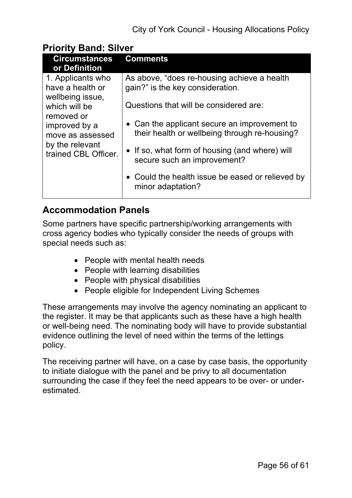#### **Priority Band: Silver**

| <b>Circumstances</b><br>or Definition           | <b>Comments</b>                                                       |
|-------------------------------------------------|-----------------------------------------------------------------------|
| 1. Applicants who                               | As above, "does re-housing achieve a health"                          |
| have a health or                                | gain?" is the key consideration.                                      |
| wellbeing issue,<br>which will be<br>removed or | Questions that will be considered are:                                |
| improved by a                                   | • Can the applicant secure an improvement to                          |
| move as assessed                                | their health or wellbeing through re-housing?                         |
| by the relevant                                 | • If so, what form of housing (and where) will                        |
| trained CBL Officer.                            | secure such an improvement?                                           |
|                                                 | • Could the health issue be eased or relieved by<br>minor adaptation? |

### **Accommodation Panels**

Some partners have specific partnership/working arrangements with cross agency bodies who typically consider the needs of groups with special needs such as:

- People with mental health needs
- People with learning disabilities
- People with physical disabilities
- People eligible for Independent Living Schemes

These arrangements may involve the agency nominating an applicant to the register. It may be that applicants such as these have a high health or well-being need. The nominating body will have to provide substantial evidence outlining the level of need within the terms of the lettings policy.

The receiving partner will have, on a case by case basis, the opportunity to initiate dialogue with the panel and be privy to all documentation surrounding the case if they feel the need appears to be over- or underestimated.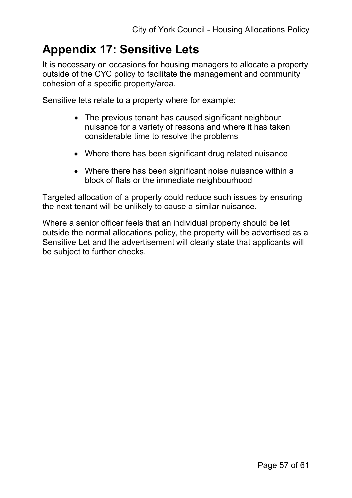## **Appendix 17: Sensitive Lets**

It is necessary on occasions for housing managers to allocate a property outside of the CYC policy to facilitate the management and community cohesion of a specific property/area.

Sensitive lets relate to a property where for example:

- The previous tenant has caused significant neighbour nuisance for a variety of reasons and where it has taken considerable time to resolve the problems
- Where there has been significant drug related nuisance
- Where there has been significant noise nuisance within a block of flats or the immediate neighbourhood

Targeted allocation of a property could reduce such issues by ensuring the next tenant will be unlikely to cause a similar nuisance.

Where a senior officer feels that an individual property should be let outside the normal allocations policy, the property will be advertised as a Sensitive Let and the advertisement will clearly state that applicants will be subject to further checks.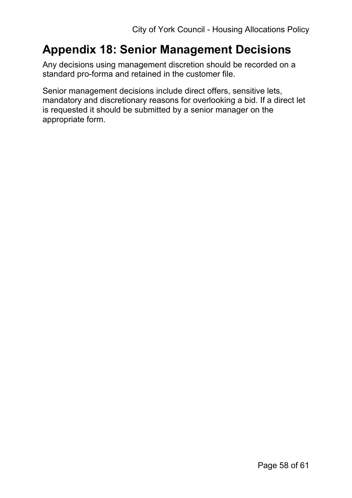## **Appendix 18: Senior Management Decisions**

Any decisions using management discretion should be recorded on a standard pro-forma and retained in the customer file.

Senior management decisions include direct offers, sensitive lets, mandatory and discretionary reasons for overlooking a bid. If a direct let is requested it should be submitted by a senior manager on the appropriate form.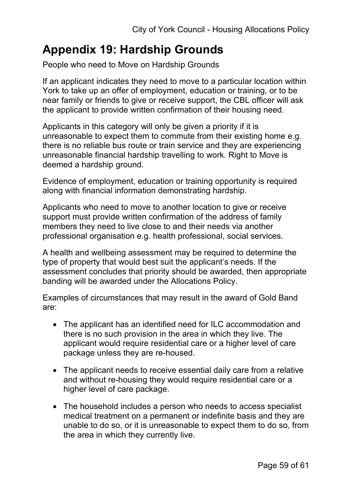## **Appendix 19: Hardship Grounds**

People who need to Move on Hardship Grounds

If an applicant indicates they need to move to a particular location within York to take up an offer of employment, education or training, or to be near family or friends to give or receive support, the CBL officer will ask the applicant to provide written confirmation of their housing need.

Applicants in this category will only be given a priority if it is unreasonable to expect them to commute from their existing home e.g. there is no reliable bus route or train service and they are experiencing unreasonable financial hardship travelling to work. Right to Move is deemed a hardship ground.

Evidence of employment, education or training opportunity is required along with financial information demonstrating hardship.

Applicants who need to move to another location to give or receive support must provide written confirmation of the address of family members they need to live close to and their needs via another professional organisation e.g. health professional, social services.

A health and wellbeing assessment may be required to determine the type of property that would best suit the applicant's needs. If the assessment concludes that priority should be awarded, then appropriate banding will be awarded under the Allocations Policy.

Examples of circumstances that may result in the award of Gold Band are:

- The applicant has an identified need for ILC accommodation and there is no such provision in the area in which they live. The applicant would require residential care or a higher level of care package unless they are re-housed.
- The applicant needs to receive essential daily care from a relative and without re-housing they would require residential care or a higher level of care package.
- The household includes a person who needs to access specialist medical treatment on a permanent or indefinite basis and they are unable to do so, or it is unreasonable to expect them to do so, from the area in which they currently live.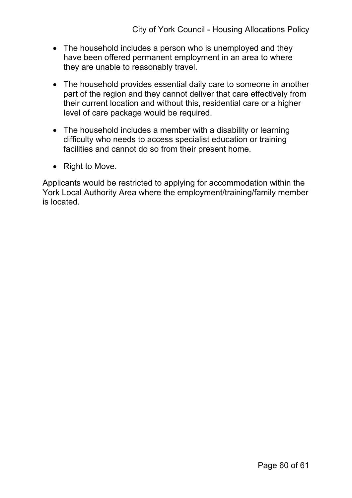- The household includes a person who is unemployed and they have been offered permanent employment in an area to where they are unable to reasonably travel.
- The household provides essential daily care to someone in another part of the region and they cannot deliver that care effectively from their current location and without this, residential care or a higher level of care package would be required.
- The household includes a member with a disability or learning difficulty who needs to access specialist education or training facilities and cannot do so from their present home.
- Right to Move.

Applicants would be restricted to applying for accommodation within the York Local Authority Area where the employment/training/family member is located.